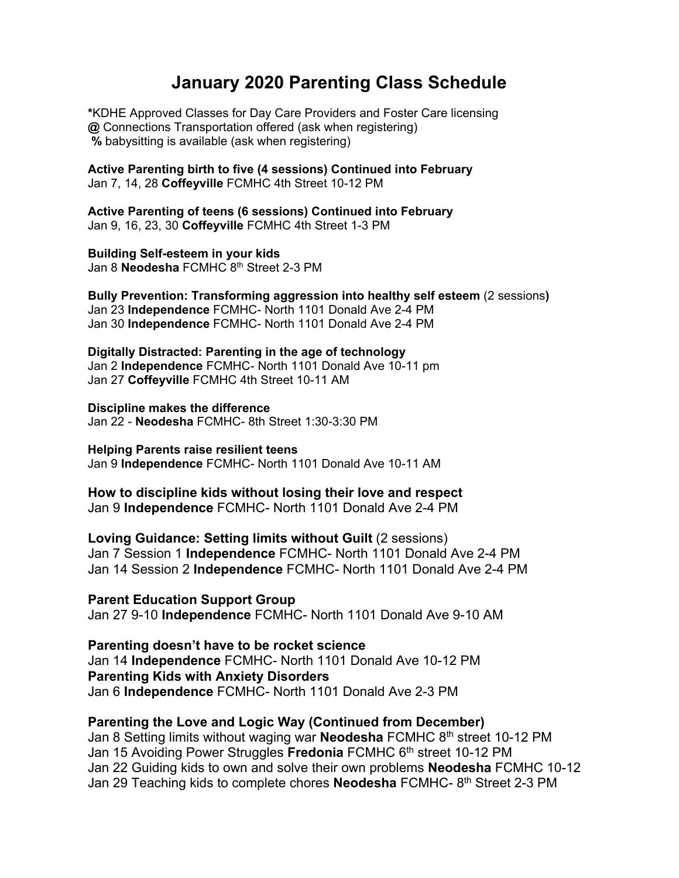## **January 2020 Parenting Class Schedule**

**\***KDHE Approved Classes for Day Care Providers and Foster Care licensing **@** Connections Transportation offered (ask when registering)  **%** babysitting is available (ask when registering)

**Active Parenting birth to five (4 sessions) Continued into February**  Jan 7, 14, 28 **Coffeyville** FCMHC 4th Street 10-12 PM

**Active Parenting of teens (6 sessions) Continued into February**  Jan 9, 16, 23, 30 **Coffeyville** FCMHC 4th Street 1-3 PM

**Building Self-esteem in your kids** Jan 8 **Neodesha** FCMHC 8<sup>th</sup> Street 2-3 PM

**Bully Prevention: Transforming aggression into healthy self esteem** (2 sessions**)**  Jan 23 **Independence** FCMHC- North 1101 Donald Ave 2-4 PM Jan 30 **Independence** FCMHC- North 1101 Donald Ave 2-4 PM

**Digitally Distracted: Parenting in the age of technology**  Jan 2 **Independence** FCMHC- North 1101 Donald Ave 10-11 pm Jan 27 **Coffeyville** FCMHC 4th Street 10-11 AM

**Discipline makes the difference**  Jan 22 - **Neodesha** FCMHC- 8th Street 1:30-3:30 PM

**Helping Parents raise resilient teens**  Jan 9 **Independence** FCMHC- North 1101 Donald Ave 10-11 AM

**How to discipline kids without losing their love and respect** Jan 9 **Independence** FCMHC- North 1101 Donald Ave 2-4 PM

**Loving Guidance: Setting limits without Guilt** (2 sessions) Jan 7 Session 1 **Independence** FCMHC- North 1101 Donald Ave 2-4 PM Jan 14 Session 2 **Independence** FCMHC- North 1101 Donald Ave 2-4 PM

**Parent Education Support Group** Jan 27 9-10 **Independence** FCMHC- North 1101 Donald Ave 9-10 AM

**Parenting doesn't have to be rocket science** Jan 14 **Independence** FCMHC- North 1101 Donald Ave 10-12 PM **Parenting Kids with Anxiety Disorders** Jan 6 **Independence** FCMHC- North 1101 Donald Ave 2-3 PM

## **Parenting the Love and Logic Way (Continued from December)**

Jan 8 Setting limits without waging war **Neodesha** FCMHC 8th street 10-12 PM Jan 15 Avoiding Power Struggles **Fredonia** FCMHC 6th street 10-12 PM Jan 22 Guiding kids to own and solve their own problems **Neodesha** FCMHC 10-12 Jan 29 Teaching kids to complete chores **Neodesha** FCMHC-8<sup>th</sup> Street 2-3 PM